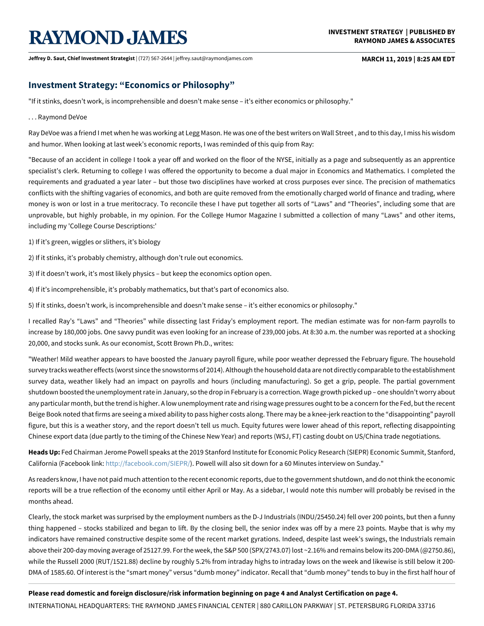# **RAYMOND JAMES**

**Jeffrey D. Saut, Chief Investment Strategist** | (727) 567-2644 | jeffrey.saut@raymondjames.com **MARCH 11, 2019 | 8:25 AM EDT**

# **Investment Strategy: "Economics or Philosophy"**

"If it stinks, doesn't work, is incomprehensible and doesn't make sense – it's either economics or philosophy."

#### . . . Raymond DeVoe

Ray DeVoe was a friend I met when he was working at Legg Mason. He was one of the best writers on Wall Street, and to this day, I miss his wisdom and humor. When looking at last week's economic reports, I was reminded of this quip from Ray:

"Because of an accident in college I took a year off and worked on the floor of the NYSE, initially as a page and subsequently as an apprentice specialist's clerk. Returning to college I was offered the opportunity to become a dual major in Economics and Mathematics. I completed the requirements and graduated a year later – but those two disciplines have worked at cross purposes ever since. The precision of mathematics conflicts with the shifting vagaries of economics, and both are quite removed from the emotionally charged world of finance and trading, where money is won or lost in a true meritocracy. To reconcile these I have put together all sorts of "Laws" and "Theories", including some that are unprovable, but highly probable, in my opinion. For the College Humor Magazine I submitted a collection of many "Laws" and other items, including my 'College Course Descriptions:'

1) If it's green, wiggles or slithers, it's biology

2) If it stinks, it's probably chemistry, although don't rule out economics.

3) If it doesn't work, it's most likely physics – but keep the economics option open.

4) If it's incomprehensible, it's probably mathematics, but that's part of economics also.

5) If it stinks, doesn't work, is incomprehensible and doesn't make sense – it's either economics or philosophy."

I recalled Ray's "Laws" and "Theories" while dissecting last Friday's employment report. The median estimate was for non-farm payrolls to increase by 180,000 jobs. One savvy pundit was even looking for an increase of 239,000 jobs. At 8:30 a.m. the number was reported at a shocking 20,000, and stocks sunk. As our economist, Scott Brown Ph.D., writes:

"Weather! Mild weather appears to have boosted the January payroll figure, while poor weather depressed the February figure. The household survey tracks weather effects (worst since the snowstorms of 2014). Although the household data are not directly comparable to the establishment survey data, weather likely had an impact on payrolls and hours (including manufacturing). So get a grip, people. The partial government shutdown boosted the unemployment rate in January, so the drop in February is a correction. Wage growth picked up – one shouldn't worry about any particular month, but the trend is higher. A low unemployment rate and rising wage pressures ought to be a concern for the Fed, but the recent Beige Book noted that firms are seeing a mixed ability to pass higher costs along. There may be a knee-jerk reaction to the "disappointing" payroll figure, but this is a weather story, and the report doesn't tell us much. Equity futures were lower ahead of this report, reflecting disappointing Chinese export data (due partly to the timing of the Chinese New Year) and reports (WSJ, FT) casting doubt on US/China trade negotiations.

**Heads Up:** Fed Chairman Jerome Powell speaks at the 2019 Stanford Institute for Economic Policy Research (SIEPR) Economic Summit, Stanford, California (Facebook link: [http://facebook.com/SIEPR/\)](http://facebook.com/SIEPR/). Powell will also sit down for a 60 Minutes interview on Sunday."

As readers know, I have not paid much attention to the recent economic reports, due to the government shutdown, and do not think the economic reports will be a true reflection of the economy until either April or May. As a sidebar, I would note this number will probably be revised in the months ahead.

Clearly, the stock market was surprised by the employment numbers as the D-J Industrials (INDU/25450.24) fell over 200 points, but then a funny thing happened – stocks stabilized and began to lift. By the closing bell, the senior index was off by a mere 23 points. Maybe that is why my indicators have remained constructive despite some of the recent market gyrations. Indeed, despite last week's swings, the Industrials remain above their 200-day moving average of 25127.99. For the week, the S&P 500 (SPX/2743.07) lost ~2.16% and remains below its 200-DMA (@2750.86), while the Russell 2000 (RUT/1521.88) decline by roughly 5.2% from intraday highs to intraday lows on the week and likewise is still below it 200- DMA of 1585.60. Of interest is the "smart money" versus "dumb money" indicator. Recall that "dumb money" tends to buy in the first half hour of

### **Please read domestic and foreign disclosure/risk information beginning on page 4 and Analyst Certification on page 4.**

INTERNATIONAL HEADQUARTERS: THE RAYMOND JAMES FINANCIAL CENTER | 880 CARILLON PARKWAY | ST. PETERSBURG FLORIDA 33716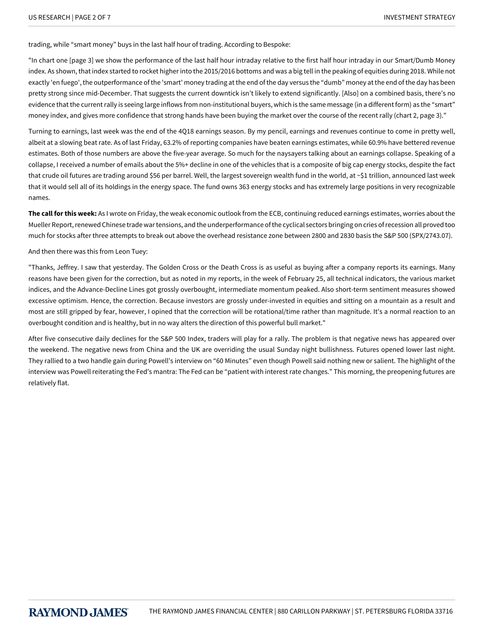trading, while "smart money" buys in the last half hour of trading. According to Bespoke:

"In chart one [page 3] we show the performance of the last half hour intraday relative to the first half hour intraday in our Smart/Dumb Money index. As shown, that index started to rocket higher into the 2015/2016 bottoms and was a big tell in the peaking of equities during 2018. While not exactly 'en fuego', the outperformance of the 'smart' money trading at the end of the day versus the "dumb" money at the end of the day has been pretty strong since mid-December. That suggests the current downtick isn't likely to extend significantly. [Also] on a combined basis, there's no evidence that the current rally is seeing large inflows from non-institutional buyers, which is the same message (in a different form) as the "smart" money index, and gives more confidence that strong hands have been buying the market over the course of the recent rally (chart 2, page 3)."

Turning to earnings, last week was the end of the 4Q18 earnings season. By my pencil, earnings and revenues continue to come in pretty well, albeit at a slowing beat rate. As of last Friday, 63.2% of reporting companies have beaten earnings estimates, while 60.9% have bettered revenue estimates. Both of those numbers are above the five-year average. So much for the naysayers talking about an earnings collapse. Speaking of a collapse, I received a number of emails about the 5%+ decline in one of the vehicles that is a composite of big cap energy stocks, despite the fact that crude oil futures are trading around \$56 per barrel. Well, the largest sovereign wealth fund in the world, at ~\$1 trillion, announced last week that it would sell all of its holdings in the energy space. The fund owns 363 energy stocks and has extremely large positions in very recognizable names.

**The call for this week:** As I wrote on Friday, the weak economic outlook from the ECB, continuing reduced earnings estimates, worries about the Mueller Report, renewed Chinese trade war tensions, and the underperformance of the cyclical sectors bringing on cries of recession all proved too much for stocks after three attempts to break out above the overhead resistance zone between 2800 and 2830 basis the S&P 500 (SPX/2743.07).

And then there was this from Leon Tuey:

"Thanks, Jeffrey. I saw that yesterday. The Golden Cross or the Death Cross is as useful as buying after a company reports its earnings. Many reasons have been given for the correction, but as noted in my reports, in the week of February 25, all technical indicators, the various market indices, and the Advance-Decline Lines got grossly overbought, intermediate momentum peaked. Also short-term sentiment measures showed excessive optimism. Hence, the correction. Because investors are grossly under-invested in equities and sitting on a mountain as a result and most are still gripped by fear, however, I opined that the correction will be rotational/time rather than magnitude. It's a normal reaction to an overbought condition and is healthy, but in no way alters the direction of this powerful bull market."

After five consecutive daily declines for the S&P 500 Index, traders will play for a rally. The problem is that negative news has appeared over the weekend. The negative news from China and the UK are overriding the usual Sunday night bullishness. Futures opened lower last night. They rallied to a two handle gain during Powell's interview on "60 Minutes" even though Powell said nothing new or salient. The highlight of the interview was Powell reiterating the Fed's mantra: The Fed can be "patient with interest rate changes." This morning, the preopening futures are relatively flat.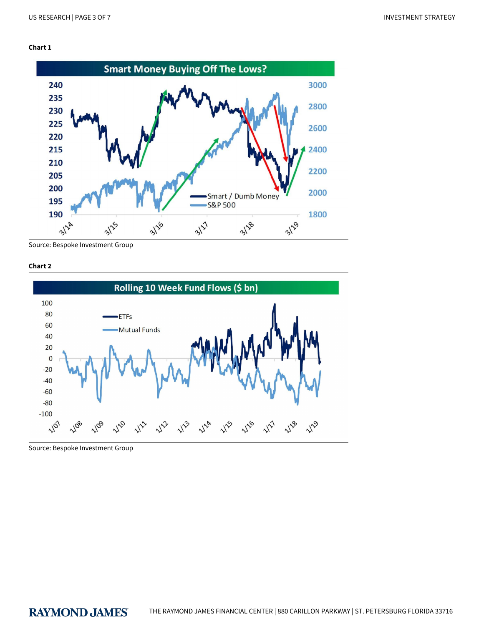## **Chart 1**



Source: Bespoke Investment Group





Source: Bespoke Investment Group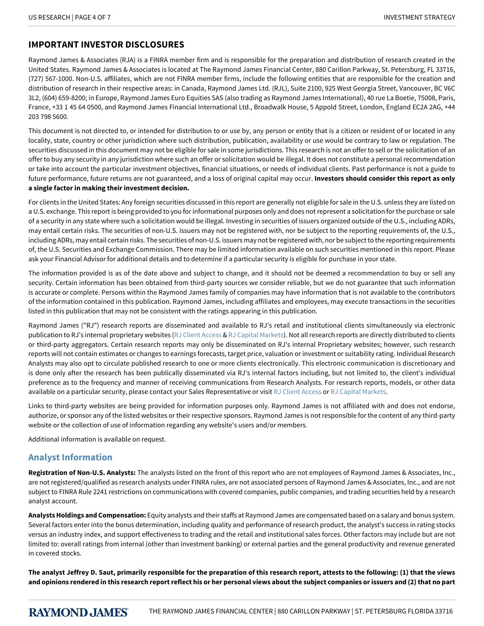# **IMPORTANT INVESTOR DISCLOSURES**

Raymond James & Associates (RJA) is a FINRA member firm and is responsible for the preparation and distribution of research created in the United States. Raymond James & Associates is located at The Raymond James Financial Center, 880 Carillon Parkway, St. Petersburg, FL 33716, (727) 567-1000. Non-U.S. affiliates, which are not FINRA member firms, include the following entities that are responsible for the creation and distribution of research in their respective areas: in Canada, Raymond James Ltd. (RJL), Suite 2100, 925 West Georgia Street, Vancouver, BC V6C 3L2, (604) 659-8200; in Europe, Raymond James Euro Equities SAS (also trading as Raymond James International), 40 rue La Boetie, 75008, Paris, France, +33 1 45 64 0500, and Raymond James Financial International Ltd., Broadwalk House, 5 Appold Street, London, England EC2A 2AG, +44 203 798 5600.

This document is not directed to, or intended for distribution to or use by, any person or entity that is a citizen or resident of or located in any locality, state, country or other jurisdiction where such distribution, publication, availability or use would be contrary to law or regulation. The securities discussed in this document may not be eligible for sale in some jurisdictions. This research is not an offer to sell or the solicitation of an offer to buy any security in any jurisdiction where such an offer or solicitation would be illegal. It does not constitute a personal recommendation or take into account the particular investment objectives, financial situations, or needs of individual clients. Past performance is not a guide to future performance, future returns are not guaranteed, and a loss of original capital may occur. **Investors should consider this report as only a single factor in making their investment decision.**

For clients in the United States: Any foreign securities discussed in this report are generally not eligible for sale in the U.S. unless they are listed on a U.S. exchange. This report is being provided to you for informational purposes only and does not represent a solicitation for the purchase or sale of a security in any state where such a solicitation would be illegal. Investing in securities of issuers organized outside of the U.S., including ADRs, may entail certain risks. The securities of non-U.S. issuers may not be registered with, nor be subject to the reporting requirements of, the U.S., including ADRs, may entail certain risks. The securities of non-U.S. issuers may not be registered with, nor be subject to the reporting requirements of, the U.S. Securities and Exchange Commission. There may be limited information available on such securities mentioned in this report. Please ask your Financial Advisor for additional details and to determine if a particular security is eligible for purchase in your state.

The information provided is as of the date above and subject to change, and it should not be deemed a recommendation to buy or sell any security. Certain information has been obtained from third-party sources we consider reliable, but we do not guarantee that such information is accurate or complete. Persons within the Raymond James family of companies may have information that is not available to the contributors of the information contained in this publication. Raymond James, including affiliates and employees, may execute transactions in the securities listed in this publication that may not be consistent with the ratings appearing in this publication.

Raymond James ("RJ") research reports are disseminated and available to RJ's retail and institutional clients simultaneously via electronic publication to RJ's internal proprietary websites [\(RJ Client Access](https://clientaccess.rjf.com/) & [RJ Capital Markets\)](http://www.rjcapitalmarkets.com/Logon/Index). Not all research reports are directly distributed to clients or third-party aggregators. Certain research reports may only be disseminated on RJ's internal Proprietary websites; however, such research reports will not contain estimates or changes to earnings forecasts, target price, valuation or investment or suitability rating. Individual Research Analysts may also opt to circulate published research to one or more clients electronically. This electronic communication is discretionary and is done only after the research has been publically disseminated via RJ's internal factors including, but not limited to, the client's individual preference as to the frequency and manner of receiving communications from Research Analysts. For research reports, models, or other data available on a particular security, please contact your Sales Representative or visit [RJ Client Access](https://clientaccess.rjf.com/) or [RJ Capital Markets](http://www.rjcapitalmarkets.com/Logon/Index).

Links to third-party websites are being provided for information purposes only. Raymond James is not affiliated with and does not endorse, authorize, or sponsor any of the listed websites or their respective sponsors. Raymond James is not responsible for the content of any third-party website or the collection of use of information regarding any website's users and/or members.

Additional information is available on request.

## **Analyst Information**

**Registration of Non-U.S. Analysts:** The analysts listed on the front of this report who are not employees of Raymond James & Associates, Inc., are not registered/qualified as research analysts under FINRA rules, are not associated persons of Raymond James & Associates, Inc., and are not subject to FINRA Rule 2241 restrictions on communications with covered companies, public companies, and trading securities held by a research analyst account.

**Analysts Holdings and Compensation:** Equity analysts and their staffs at Raymond James are compensated based on a salary and bonus system. Several factors enter into the bonus determination, including quality and performance of research product, the analyst's success in rating stocks versus an industry index, and support effectiveness to trading and the retail and institutional sales forces. Other factors may include but are not limited to: overall ratings from internal (other than investment banking) or external parties and the general productivity and revenue generated in covered stocks.

**The analyst Jeffrey D. Saut, primarily responsible for the preparation of this research report, attests to the following: (1) that the views and opinions rendered in this research report reflect his or her personal views about the subject companies or issuers and (2) that no part**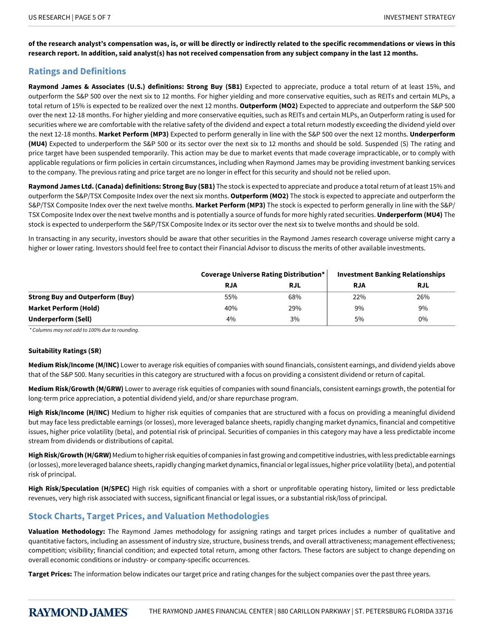**of the research analyst's compensation was, is, or will be directly or indirectly related to the specific recommendations or views in this research report. In addition, said analyst(s) has not received compensation from any subject company in the last 12 months.**

## **Ratings and Definitions**

**Raymond James & Associates (U.S.) definitions: Strong Buy (SB1)** Expected to appreciate, produce a total return of at least 15%, and outperform the S&P 500 over the next six to 12 months. For higher yielding and more conservative equities, such as REITs and certain MLPs, a total return of 15% is expected to be realized over the next 12 months. **Outperform (MO2)** Expected to appreciate and outperform the S&P 500 over the next 12-18 months. For higher yielding and more conservative equities, such as REITs and certain MLPs, an Outperform rating is used for securities where we are comfortable with the relative safety of the dividend and expect a total return modestly exceeding the dividend yield over the next 12-18 months. **Market Perform (MP3)** Expected to perform generally in line with the S&P 500 over the next 12 months. **Underperform (MU4)** Expected to underperform the S&P 500 or its sector over the next six to 12 months and should be sold. Suspended (S) The rating and price target have been suspended temporarily. This action may be due to market events that made coverage impracticable, or to comply with applicable regulations or firm policies in certain circumstances, including when Raymond James may be providing investment banking services to the company. The previous rating and price target are no longer in effect for this security and should not be relied upon.

**Raymond James Ltd. (Canada) definitions: Strong Buy (SB1)** The stock is expected to appreciate and produce a total return of at least 15% and outperform the S&P/TSX Composite Index over the next six months. **Outperform (MO2)** The stock is expected to appreciate and outperform the S&P/TSX Composite Index over the next twelve months. **Market Perform (MP3)** The stock is expected to perform generally in line with the S&P/ TSX Composite Index over the next twelve months and is potentially a source of funds for more highly rated securities. **Underperform (MU4)** The stock is expected to underperform the S&P/TSX Composite Index or its sector over the next six to twelve months and should be sold.

In transacting in any security, investors should be aware that other securities in the Raymond James research coverage universe might carry a higher or lower rating. Investors should feel free to contact their Financial Advisor to discuss the merits of other available investments.

|                                        | <b>Coverage Universe Rating Distribution*</b> |            | <b>Investment Banking Relationships</b> |            |
|----------------------------------------|-----------------------------------------------|------------|-----------------------------------------|------------|
|                                        | <b>RJA</b>                                    | <b>RJL</b> | <b>RJA</b>                              | <b>RJL</b> |
| <b>Strong Buy and Outperform (Buy)</b> | 55%                                           | 68%        | 22%                                     | 26%        |
| <b>Market Perform (Hold)</b>           | 40%                                           | 29%        | 9%                                      | 9%         |
| Underperform (Sell)                    | 4%                                            | 3%         | 5%                                      | 0%         |

*\*Columnsmaynotaddto100%duetorounding.*

## **Suitability Ratings (SR)**

**Medium Risk/Income (M/INC)** Lower to average risk equities of companies with sound financials, consistent earnings, and dividend yields above that of the S&P 500. Many securities in this category are structured with a focus on providing a consistent dividend or return of capital.

**Medium Risk/Growth (M/GRW)** Lower to average risk equities of companies with sound financials, consistent earnings growth, the potential for long-term price appreciation, a potential dividend yield, and/or share repurchase program.

High Risk/Income (H/INC) Medium to higher risk equities of companies that are structured with a focus on providing a meaningful dividend but may face less predictable earnings (or losses), more leveraged balance sheets, rapidly changing market dynamics, financial and competitive issues, higher price volatility (beta), and potential risk of principal. Securities of companies in this category may have a less predictable income stream from dividends or distributions of capital.

**High Risk/Growth (H/GRW)** Medium to higher risk equities of companies in fast growing and competitive industries, with less predictable earnings (or losses), more leveraged balance sheets, rapidly changing market dynamics, financial or legal issues, higher price volatility (beta), and potential risk of principal.

**High Risk/Speculation (H/SPEC)** High risk equities of companies with a short or unprofitable operating history, limited or less predictable revenues, very high risk associated with success, significant financial or legal issues, or a substantial risk/loss of principal.

# **Stock Charts, Target Prices, and Valuation Methodologies**

**Valuation Methodology:** The Raymond James methodology for assigning ratings and target prices includes a number of qualitative and quantitative factors, including an assessment of industry size, structure, business trends, and overall attractiveness; management effectiveness; competition; visibility; financial condition; and expected total return, among other factors. These factors are subject to change depending on overall economic conditions or industry- or company-specific occurrences.

**Target Prices:** The information below indicates our target price and rating changes for the subject companies over the past three years.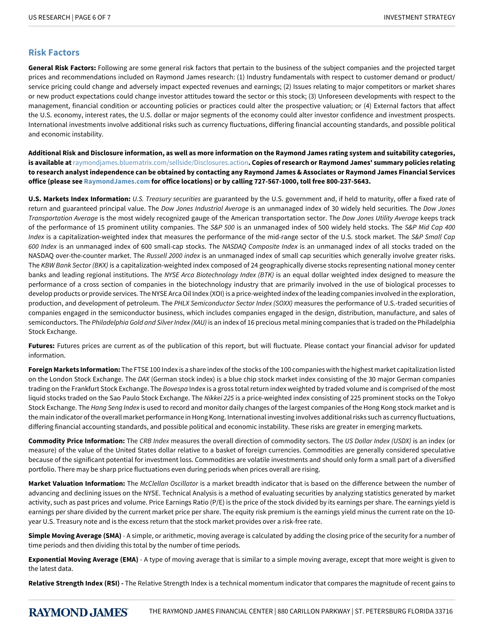## **Risk Factors**

**General Risk Factors:** Following are some general risk factors that pertain to the business of the subject companies and the projected target prices and recommendations included on Raymond James research: (1) Industry fundamentals with respect to customer demand or product/ service pricing could change and adversely impact expected revenues and earnings; (2) Issues relating to major competitors or market shares or new product expectations could change investor attitudes toward the sector or this stock; (3) Unforeseen developments with respect to the management, financial condition or accounting policies or practices could alter the prospective valuation; or (4) External factors that affect the U.S. economy, interest rates, the U.S. dollar or major segments of the economy could alter investor confidence and investment prospects. International investments involve additional risks such as currency fluctuations, differing financial accounting standards, and possible political and economic instability.

**Additional Risk and Disclosure information, as well as more information on the Raymond James rating system and suitability categories, is available at**[raymondjames.bluematrix.com/sellside/Disclosures.action](https://raymondjames.bluematrix.com/sellside/Disclosures.action)**. Copies of research or Raymond James' summary policies relating to research analyst independence can be obtained by contacting any Raymond James & Associates or Raymond James Financial Services office (please see [RaymondJames.com](http://raymondjames.com) for office locations) or by calling 727-567-1000, toll free 800-237-5643.**

**U.S. Markets Index Information:** *U.S.Treasurysecurities* are guaranteed by the U.S. government and, if held to maturity, offer a fixed rate of return and guaranteed principal value. The *Dow Jones Industrial Average* is an unmanaged index of 30 widely held securities. The *Dow Jones Transportation-verage* is the most widely recognized gauge of the American transportation sector. The *DowJonesUtility-verage* keeps track of the performance of 15 prominent utility companies. The *S&P500* is an unmanaged index of 500 widely held stocks. The *S&PMidCap400 Index* is a capitalization-weighted index that measures the performance of the mid-range sector of the U.S. stock market. The *S&P Small Cap* 600 Index is an unmanaged index of 600 small-cap stocks. The NASDAQ Composite Index is an unmanaged index of all stocks traded on the NASDAQ over-the-counter market. The *Russell 2000 index* is an unmanaged index of small cap securities which generally involve greater risks. The *KBW Bank Sector (BKX)* is a capitalization-weighted index composed of 24 geographically diverse stocks representing national money center banks and leading regional institutions. The NYSE Arca Biotechnology Index (BTK) is an equal dollar weighted index designed to measure the performance of a cross section of companies in the biotechnology industry that are primarily involved in the use of biological processes to develop products or provide services. The NYSE Arca Oil Index (XOI) is a price-weighted index of the leading companies involved in the exploration, production, and development of petroleum. The PHLX Semiconductor Sector Index (SOXX) measures the performance of U.S.-traded securities of companies engaged in the semiconductor business, which includes companies engaged in the design, distribution, manufacture, and sales of semiconductors. The *Philadelphia Gold and Silver Index (XAU)* is an index of 16 precious metal mining companies that is traded on the Philadelphia Stock Exchange.

**Futures:** Futures prices are current as of the publication of this report, but will fluctuate. Please contact your financial advisor for updated information.

**Foreign Markets Information:** The FTSE 100 Index is a share index of the stocks of the 100 companies with the highest market capitalization listed on the London Stock Exchange. The *DAX* (German stock index) is a blue chip stock market index consisting of the 30 major German companies trading on the Frankfurt Stock Exchange. The *Bovespa* Index is a gross total return index weighted by traded volume and is comprised of the most liquid stocks traded on the Sao Paulo Stock Exchange. The *Nikkei 225* is a price-weighted index consisting of 225 prominent stocks on the Tokyo Stock Exchange. The *Hang Seng Index* is used to record and monitor daily changes of the largest companies of the Hong Kong stock market and is the main indicator of the overall market performance in Hong Kong. International investing involves additional risks such as currency fluctuations, differing financial accounting standards, and possible political and economic instability. These risks are greater in emerging markets.

**Commodity Price Information:** The CRB Index measures the overall direction of commodity sectors. The *US Dollar Index (USDX)* is an index (or measure) of the value of the United States dollar relative to a basket of foreign currencies. Commodities are generally considered speculative because of the significant potential for investment loss. Commodities are volatile investments and should only form a small part of a diversified portfolio. There may be sharp price fluctuations even during periods when prices overall are rising.

Market Valuation Information: The *McClellan Oscillator* is a market breadth indicator that is based on the difference between the number of advancing and declining issues on the NYSE. Technical Analysis is a method of evaluating securities by analyzing statistics generated by market activity, such as past prices and volume. Price Earnings Ratio (P/E) is the price of the stock divided by its earnings per share. The earnings yield is earnings per share divided by the current market price per share. The equity risk premium is the earnings yield minus the current rate on the 10 year U.S. Treasury note and is the excess return that the stock market provides over a risk-free rate.

**Simple Moving Average (SMA)** - A simple, or arithmetic, moving average is calculated by adding the closing price of the security for a number of time periods and then dividing this total by the number of time periods.

**Exponential Moving Average (EMA)** - A type of moving average that is similar to a simple moving average, except that more weight is given to the latest data.

**Relative Strength Index (RSI) -** The Relative Strength Index is a technical momentum indicator that compares the magnitude of recent gains to